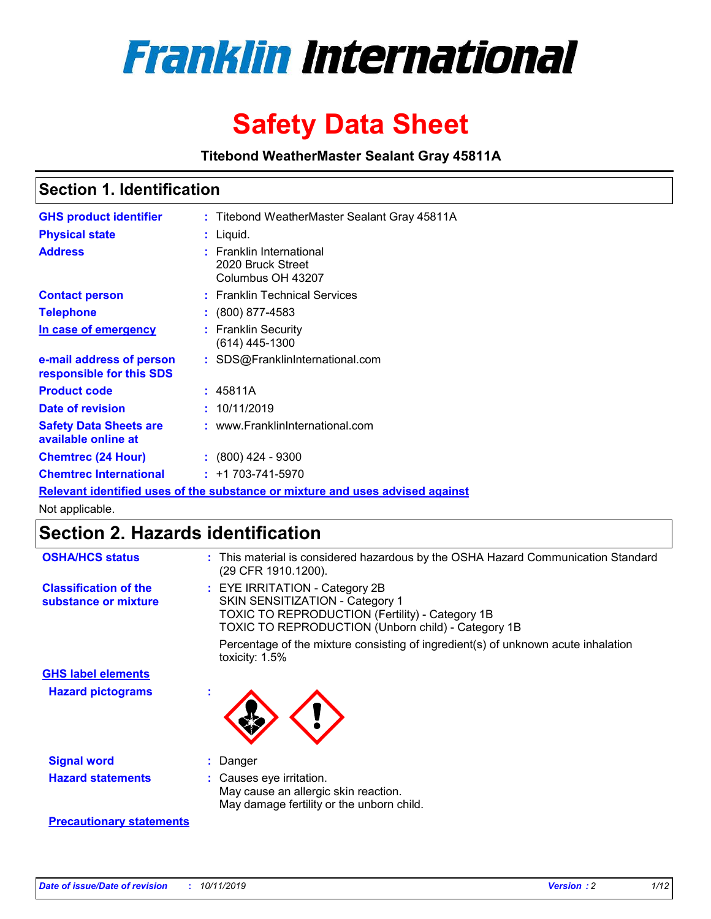

# **Safety Data Sheet**

**Titebond WeatherMaster Sealant Gray 45811A**

### **Section 1. Identification**

| <b>GHS product identifier</b>                        | : Titebond WeatherMaster Sealant Gray 45811A                                  |
|------------------------------------------------------|-------------------------------------------------------------------------------|
| <b>Physical state</b>                                | : Liquid.                                                                     |
| <b>Address</b>                                       | : Franklin International<br>2020 Bruck Street<br>Columbus OH 43207            |
| <b>Contact person</b>                                | : Franklin Technical Services                                                 |
| <b>Telephone</b>                                     | $\colon$ (800) 877-4583                                                       |
| In case of emergency                                 | : Franklin Security<br>(614) 445-1300                                         |
| e-mail address of person<br>responsible for this SDS | : SDS@FranklinInternational.com                                               |
| <b>Product code</b>                                  | : 45811A                                                                      |
| Date of revision                                     | : 10/11/2019                                                                  |
| <b>Safety Data Sheets are</b><br>available online at | : www.FranklinInternational.com                                               |
| <b>Chemtrec (24 Hour)</b>                            | $\div$ (800) 424 - 9300                                                       |
| <b>Chemtrec International</b>                        | $: +1703 - 741 - 5970$                                                        |
|                                                      | Relevant identified uses of the substance or mixture and uses advised against |

Not applicable.

## **Section 2. Hazards identification**

| <b>OSHA/HCS status</b>                               | : This material is considered hazardous by the OSHA Hazard Communication Standard<br>(29 CFR 1910.1200).                                                                                 |
|------------------------------------------------------|------------------------------------------------------------------------------------------------------------------------------------------------------------------------------------------|
| <b>Classification of the</b><br>substance or mixture | : EYE IRRITATION - Category 2B<br>SKIN SENSITIZATION - Category 1<br><b>TOXIC TO REPRODUCTION (Fertility) - Category 1B</b><br><b>TOXIC TO REPRODUCTION (Unborn child) - Category 1B</b> |
|                                                      | Percentage of the mixture consisting of ingredient(s) of unknown acute inhalation<br>toxicity: $1.5\%$                                                                                   |
| <b>GHS label elements</b>                            |                                                                                                                                                                                          |
| <b>Hazard pictograms</b>                             |                                                                                                                                                                                          |
| <b>Signal word</b>                                   | : Danger                                                                                                                                                                                 |
| <b>Hazard statements</b>                             | : Causes eye irritation.<br>May cause an allergic skin reaction.<br>May damage fertility or the unborn child.                                                                            |
| <b>Precautionary statements</b>                      |                                                                                                                                                                                          |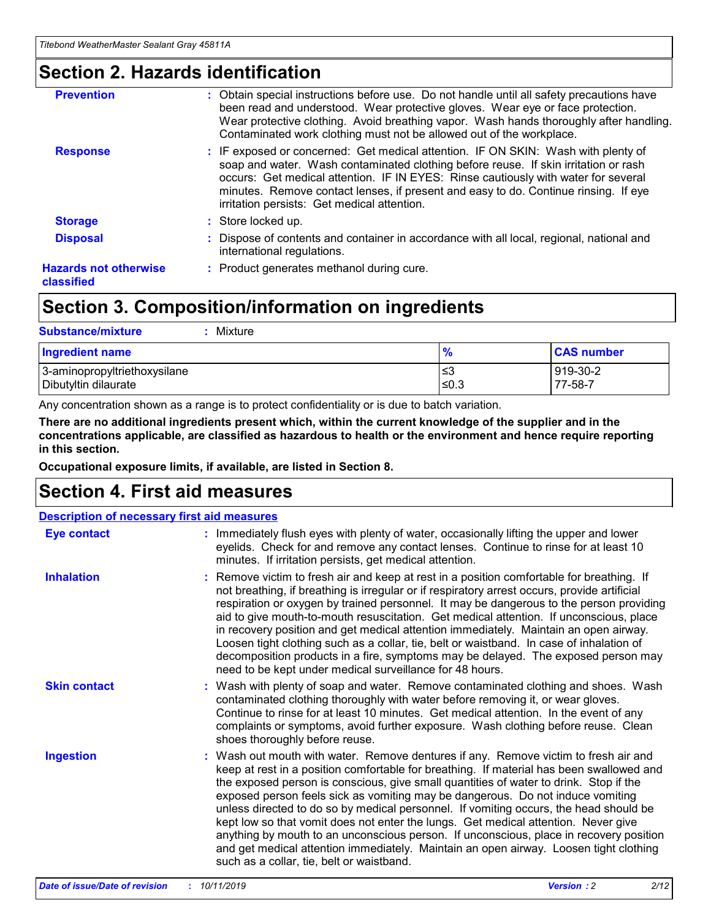### **Section 2. Hazards identification**

| <b>Prevention</b>                          | : Obtain special instructions before use. Do not handle until all safety precautions have<br>been read and understood. Wear protective gloves. Wear eye or face protection.<br>Wear protective clothing. Avoid breathing vapor. Wash hands thoroughly after handling.<br>Contaminated work clothing must not be allowed out of the workplace.                                                        |
|--------------------------------------------|------------------------------------------------------------------------------------------------------------------------------------------------------------------------------------------------------------------------------------------------------------------------------------------------------------------------------------------------------------------------------------------------------|
| <b>Response</b>                            | : IF exposed or concerned: Get medical attention. IF ON SKIN: Wash with plenty of<br>soap and water. Wash contaminated clothing before reuse. If skin irritation or rash<br>occurs: Get medical attention. IF IN EYES: Rinse cautiously with water for several<br>minutes. Remove contact lenses, if present and easy to do. Continue rinsing. If eye<br>irritation persists: Get medical attention. |
| <b>Storage</b>                             | : Store locked up.                                                                                                                                                                                                                                                                                                                                                                                   |
| <b>Disposal</b>                            | : Dispose of contents and container in accordance with all local, regional, national and<br>international regulations.                                                                                                                                                                                                                                                                               |
| <b>Hazards not otherwise</b><br>classified | : Product generates methanol during cure.                                                                                                                                                                                                                                                                                                                                                            |
|                                            |                                                                                                                                                                                                                                                                                                                                                                                                      |

### **Section 3. Composition/information on ingredients**

| <b>Substance/mixture</b><br>: Mixture                |               |                     |
|------------------------------------------------------|---------------|---------------------|
| Ingredient name                                      | $\frac{9}{6}$ | <b>CAS number</b>   |
| 3-aminopropyltriethoxysilane<br>Dibutyltin dilaurate | צ≥<br>≤0.3    | 919-30-2<br>77-58-7 |

Any concentration shown as a range is to protect confidentiality or is due to batch variation.

**There are no additional ingredients present which, within the current knowledge of the supplier and in the concentrations applicable, are classified as hazardous to health or the environment and hence require reporting in this section.**

**Occupational exposure limits, if available, are listed in Section 8.**

### **Section 4. First aid measures**

| <b>Description of necessary first aid measures</b> |                                                                                                                                                                                                                                                                                                                                                                                                                                                                                                                                                                                                                                                                                                                                                                           |
|----------------------------------------------------|---------------------------------------------------------------------------------------------------------------------------------------------------------------------------------------------------------------------------------------------------------------------------------------------------------------------------------------------------------------------------------------------------------------------------------------------------------------------------------------------------------------------------------------------------------------------------------------------------------------------------------------------------------------------------------------------------------------------------------------------------------------------------|
| <b>Eye contact</b>                                 | : Immediately flush eyes with plenty of water, occasionally lifting the upper and lower<br>eyelids. Check for and remove any contact lenses. Continue to rinse for at least 10<br>minutes. If irritation persists, get medical attention.                                                                                                                                                                                                                                                                                                                                                                                                                                                                                                                                 |
| <b>Inhalation</b>                                  | : Remove victim to fresh air and keep at rest in a position comfortable for breathing. If<br>not breathing, if breathing is irregular or if respiratory arrest occurs, provide artificial<br>respiration or oxygen by trained personnel. It may be dangerous to the person providing<br>aid to give mouth-to-mouth resuscitation. Get medical attention. If unconscious, place<br>in recovery position and get medical attention immediately. Maintain an open airway.<br>Loosen tight clothing such as a collar, tie, belt or waistband. In case of inhalation of<br>decomposition products in a fire, symptoms may be delayed. The exposed person may<br>need to be kept under medical surveillance for 48 hours.                                                       |
| <b>Skin contact</b>                                | : Wash with plenty of soap and water. Remove contaminated clothing and shoes. Wash<br>contaminated clothing thoroughly with water before removing it, or wear gloves.<br>Continue to rinse for at least 10 minutes. Get medical attention. In the event of any<br>complaints or symptoms, avoid further exposure. Wash clothing before reuse. Clean<br>shoes thoroughly before reuse.                                                                                                                                                                                                                                                                                                                                                                                     |
| <b>Ingestion</b>                                   | : Wash out mouth with water. Remove dentures if any. Remove victim to fresh air and<br>keep at rest in a position comfortable for breathing. If material has been swallowed and<br>the exposed person is conscious, give small quantities of water to drink. Stop if the<br>exposed person feels sick as vomiting may be dangerous. Do not induce vomiting<br>unless directed to do so by medical personnel. If vomiting occurs, the head should be<br>kept low so that vomit does not enter the lungs. Get medical attention. Never give<br>anything by mouth to an unconscious person. If unconscious, place in recovery position<br>and get medical attention immediately. Maintain an open airway. Loosen tight clothing<br>such as a collar, tie, belt or waistband. |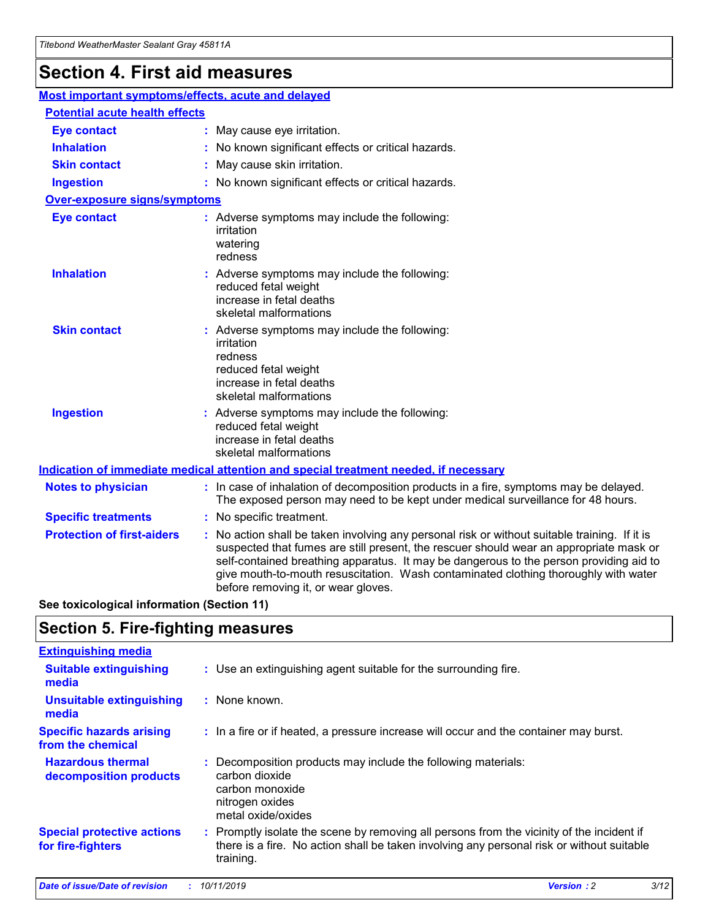## **Section 4. First aid measures**

| Most important symptoms/effects, acute and delayed |  |                                                                                                                                                                                                                                                                                                                                                                                                                 |
|----------------------------------------------------|--|-----------------------------------------------------------------------------------------------------------------------------------------------------------------------------------------------------------------------------------------------------------------------------------------------------------------------------------------------------------------------------------------------------------------|
| <b>Potential acute health effects</b>              |  |                                                                                                                                                                                                                                                                                                                                                                                                                 |
| <b>Eye contact</b>                                 |  | : May cause eye irritation.                                                                                                                                                                                                                                                                                                                                                                                     |
| <b>Inhalation</b>                                  |  | : No known significant effects or critical hazards.                                                                                                                                                                                                                                                                                                                                                             |
| <b>Skin contact</b>                                |  | : May cause skin irritation.                                                                                                                                                                                                                                                                                                                                                                                    |
| <b>Ingestion</b>                                   |  | : No known significant effects or critical hazards.                                                                                                                                                                                                                                                                                                                                                             |
| <b>Over-exposure signs/symptoms</b>                |  |                                                                                                                                                                                                                                                                                                                                                                                                                 |
| <b>Eye contact</b>                                 |  | : Adverse symptoms may include the following:<br>irritation<br>watering<br>redness                                                                                                                                                                                                                                                                                                                              |
| <b>Inhalation</b>                                  |  | : Adverse symptoms may include the following:<br>reduced fetal weight<br>increase in fetal deaths<br>skeletal malformations                                                                                                                                                                                                                                                                                     |
| <b>Skin contact</b>                                |  | : Adverse symptoms may include the following:<br>irritation<br>redness<br>reduced fetal weight<br>increase in fetal deaths<br>skeletal malformations                                                                                                                                                                                                                                                            |
| <b>Ingestion</b>                                   |  | : Adverse symptoms may include the following:<br>reduced fetal weight<br>increase in fetal deaths<br>skeletal malformations                                                                                                                                                                                                                                                                                     |
|                                                    |  | <b>Indication of immediate medical attention and special treatment needed, if necessary</b>                                                                                                                                                                                                                                                                                                                     |
| <b>Notes to physician</b>                          |  | : In case of inhalation of decomposition products in a fire, symptoms may be delayed.<br>The exposed person may need to be kept under medical surveillance for 48 hours.                                                                                                                                                                                                                                        |
| <b>Specific treatments</b>                         |  | : No specific treatment.                                                                                                                                                                                                                                                                                                                                                                                        |
| <b>Protection of first-aiders</b>                  |  | : No action shall be taken involving any personal risk or without suitable training. If it is<br>suspected that fumes are still present, the rescuer should wear an appropriate mask or<br>self-contained breathing apparatus. It may be dangerous to the person providing aid to<br>give mouth-to-mouth resuscitation. Wash contaminated clothing thoroughly with water<br>before removing it, or wear gloves. |

**See toxicological information (Section 11)**

### **Section 5. Fire-fighting measures**

| <b>Extinguishing media</b>                             |                                                                                                                                                                                                     |
|--------------------------------------------------------|-----------------------------------------------------------------------------------------------------------------------------------------------------------------------------------------------------|
| <b>Suitable extinguishing</b><br>media                 | : Use an extinguishing agent suitable for the surrounding fire.                                                                                                                                     |
| <b>Unsuitable extinguishing</b><br>media               | $:$ None known.                                                                                                                                                                                     |
| <b>Specific hazards arising</b><br>from the chemical   | : In a fire or if heated, a pressure increase will occur and the container may burst.                                                                                                               |
| <b>Hazardous thermal</b><br>decomposition products     | : Decomposition products may include the following materials:<br>carbon dioxide<br>carbon monoxide<br>nitrogen oxides<br>metal oxide/oxides                                                         |
| <b>Special protective actions</b><br>for fire-fighters | : Promptly isolate the scene by removing all persons from the vicinity of the incident if<br>there is a fire. No action shall be taken involving any personal risk or without suitable<br>training. |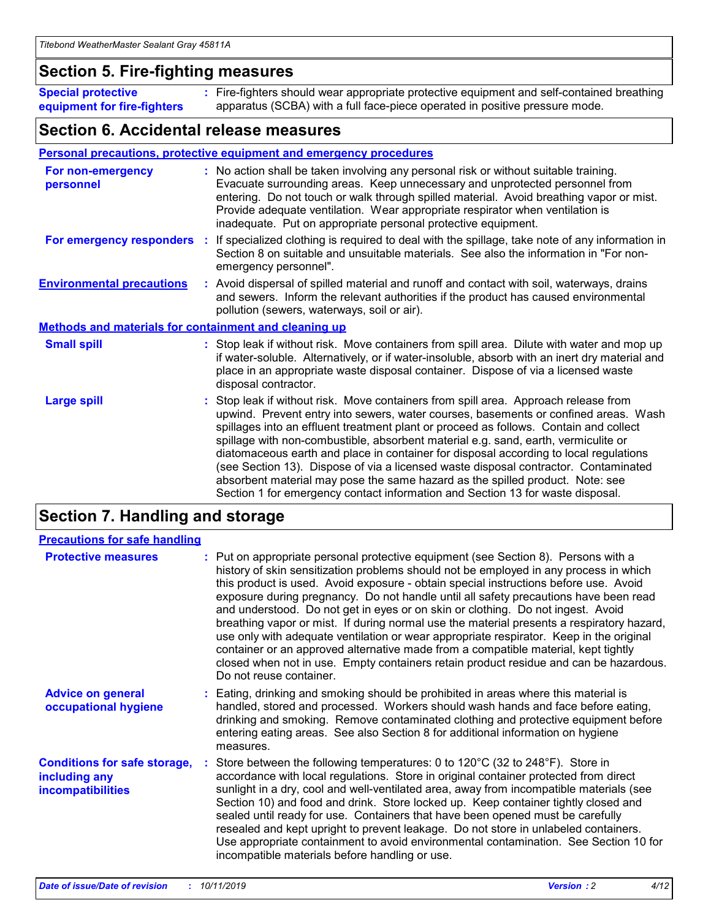### **Section 5. Fire-fighting measures**

**Special protective equipment for fire-fighters** Fire-fighters should wear appropriate protective equipment and self-contained breathing **:** apparatus (SCBA) with a full face-piece operated in positive pressure mode.

### **Section 6. Accidental release measures**

#### **Personal precautions, protective equipment and emergency procedures**

| For non-emergency<br>personnel                               | : No action shall be taken involving any personal risk or without suitable training.<br>Evacuate surrounding areas. Keep unnecessary and unprotected personnel from<br>entering. Do not touch or walk through spilled material. Avoid breathing vapor or mist.<br>Provide adequate ventilation. Wear appropriate respirator when ventilation is<br>inadequate. Put on appropriate personal protective equipment.                                                                                                                                                                                                                                                                                             |
|--------------------------------------------------------------|--------------------------------------------------------------------------------------------------------------------------------------------------------------------------------------------------------------------------------------------------------------------------------------------------------------------------------------------------------------------------------------------------------------------------------------------------------------------------------------------------------------------------------------------------------------------------------------------------------------------------------------------------------------------------------------------------------------|
| For emergency responders                                     | : If specialized clothing is required to deal with the spillage, take note of any information in<br>Section 8 on suitable and unsuitable materials. See also the information in "For non-<br>emergency personnel".                                                                                                                                                                                                                                                                                                                                                                                                                                                                                           |
| <b>Environmental precautions</b>                             | : Avoid dispersal of spilled material and runoff and contact with soil, waterways, drains<br>and sewers. Inform the relevant authorities if the product has caused environmental<br>pollution (sewers, waterways, soil or air).                                                                                                                                                                                                                                                                                                                                                                                                                                                                              |
| <b>Methods and materials for containment and cleaning up</b> |                                                                                                                                                                                                                                                                                                                                                                                                                                                                                                                                                                                                                                                                                                              |
| <b>Small spill</b>                                           | : Stop leak if without risk. Move containers from spill area. Dilute with water and mop up<br>if water-soluble. Alternatively, or if water-insoluble, absorb with an inert dry material and<br>place in an appropriate waste disposal container. Dispose of via a licensed waste<br>disposal contractor.                                                                                                                                                                                                                                                                                                                                                                                                     |
| <b>Large spill</b>                                           | : Stop leak if without risk. Move containers from spill area. Approach release from<br>upwind. Prevent entry into sewers, water courses, basements or confined areas. Wash<br>spillages into an effluent treatment plant or proceed as follows. Contain and collect<br>spillage with non-combustible, absorbent material e.g. sand, earth, vermiculite or<br>diatomaceous earth and place in container for disposal according to local regulations<br>(see Section 13). Dispose of via a licensed waste disposal contractor. Contaminated<br>absorbent material may pose the same hazard as the spilled product. Note: see<br>Section 1 for emergency contact information and Section 13 for waste disposal. |

### **Section 7. Handling and storage**

| <b>Precautions for safe handling</b>                                             |                                                                                                                                                                                                                                                                                                                                                                                                                                                                                                                                                                                                                                                                                                                                                                                                                                                  |
|----------------------------------------------------------------------------------|--------------------------------------------------------------------------------------------------------------------------------------------------------------------------------------------------------------------------------------------------------------------------------------------------------------------------------------------------------------------------------------------------------------------------------------------------------------------------------------------------------------------------------------------------------------------------------------------------------------------------------------------------------------------------------------------------------------------------------------------------------------------------------------------------------------------------------------------------|
| <b>Protective measures</b>                                                       | : Put on appropriate personal protective equipment (see Section 8). Persons with a<br>history of skin sensitization problems should not be employed in any process in which<br>this product is used. Avoid exposure - obtain special instructions before use. Avoid<br>exposure during pregnancy. Do not handle until all safety precautions have been read<br>and understood. Do not get in eyes or on skin or clothing. Do not ingest. Avoid<br>breathing vapor or mist. If during normal use the material presents a respiratory hazard,<br>use only with adequate ventilation or wear appropriate respirator. Keep in the original<br>container or an approved alternative made from a compatible material, kept tightly<br>closed when not in use. Empty containers retain product residue and can be hazardous.<br>Do not reuse container. |
| <b>Advice on general</b><br>occupational hygiene                                 | : Eating, drinking and smoking should be prohibited in areas where this material is<br>handled, stored and processed. Workers should wash hands and face before eating,<br>drinking and smoking. Remove contaminated clothing and protective equipment before<br>entering eating areas. See also Section 8 for additional information on hygiene<br>measures.                                                                                                                                                                                                                                                                                                                                                                                                                                                                                    |
| <b>Conditions for safe storage,</b><br>including any<br><b>incompatibilities</b> | Store between the following temperatures: 0 to 120°C (32 to 248°F). Store in<br>accordance with local regulations. Store in original container protected from direct<br>sunlight in a dry, cool and well-ventilated area, away from incompatible materials (see<br>Section 10) and food and drink. Store locked up. Keep container tightly closed and<br>sealed until ready for use. Containers that have been opened must be carefully<br>resealed and kept upright to prevent leakage. Do not store in unlabeled containers.<br>Use appropriate containment to avoid environmental contamination. See Section 10 for<br>incompatible materials before handling or use.                                                                                                                                                                         |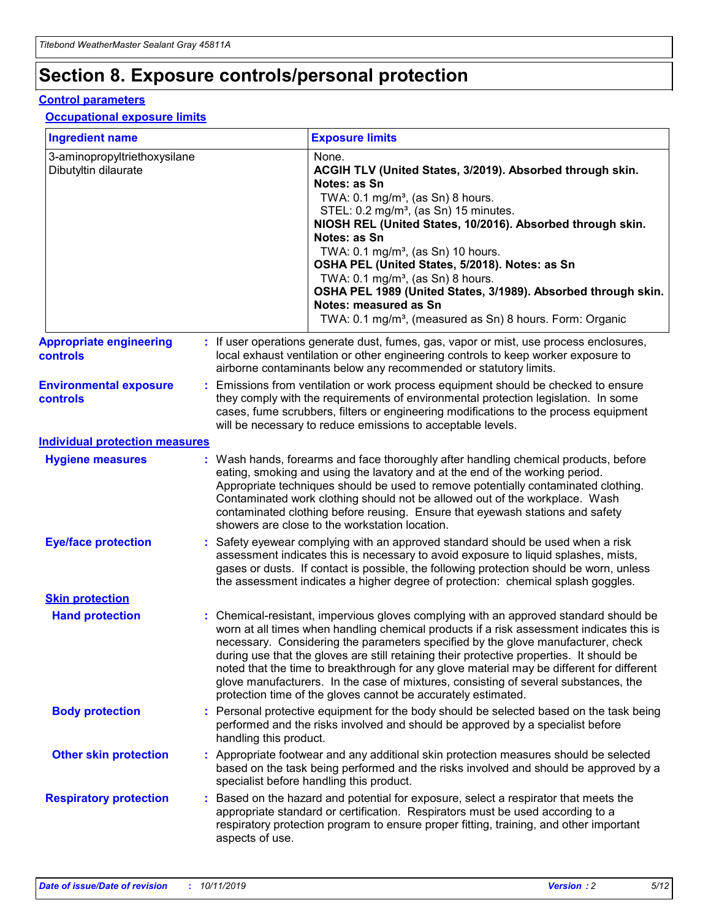## **Section 8. Exposure controls/personal protection**

#### **Control parameters**

#### **Occupational exposure limits**

| <b>Ingredient name</b>                               |    |                        | <b>Exposure limits</b>                                                                                                                                                                                                                                                                                                                                                                                                                                                                                                                                                                                                 |
|------------------------------------------------------|----|------------------------|------------------------------------------------------------------------------------------------------------------------------------------------------------------------------------------------------------------------------------------------------------------------------------------------------------------------------------------------------------------------------------------------------------------------------------------------------------------------------------------------------------------------------------------------------------------------------------------------------------------------|
| 3-aminopropyltriethoxysilane<br>Dibutyltin dilaurate |    |                        | None.<br>ACGIH TLV (United States, 3/2019). Absorbed through skin.<br>Notes: as Sn<br>TWA: $0.1 \text{ mg/m}^3$ , (as Sn) 8 hours.<br>STEL: 0.2 mg/m <sup>3</sup> , (as Sn) 15 minutes.<br>NIOSH REL (United States, 10/2016). Absorbed through skin.<br>Notes: as Sn<br>TWA: 0.1 mg/m <sup>3</sup> , (as Sn) 10 hours.<br>OSHA PEL (United States, 5/2018). Notes: as Sn<br>TWA: 0.1 mg/m <sup>3</sup> , (as Sn) 8 hours.<br>OSHA PEL 1989 (United States, 3/1989). Absorbed through skin.<br>Notes: measured as Sn<br>TWA: 0.1 mg/m <sup>3</sup> , (measured as Sn) 8 hours. Form: Organic                           |
| <b>Appropriate engineering</b><br>controls           |    |                        | : If user operations generate dust, fumes, gas, vapor or mist, use process enclosures,<br>local exhaust ventilation or other engineering controls to keep worker exposure to<br>airborne contaminants below any recommended or statutory limits.                                                                                                                                                                                                                                                                                                                                                                       |
| <b>Environmental exposure</b><br>controls            |    |                        | Emissions from ventilation or work process equipment should be checked to ensure<br>they comply with the requirements of environmental protection legislation. In some<br>cases, fume scrubbers, filters or engineering modifications to the process equipment<br>will be necessary to reduce emissions to acceptable levels.                                                                                                                                                                                                                                                                                          |
| <b>Individual protection measures</b>                |    |                        |                                                                                                                                                                                                                                                                                                                                                                                                                                                                                                                                                                                                                        |
| <b>Hygiene measures</b>                              |    |                        | : Wash hands, forearms and face thoroughly after handling chemical products, before<br>eating, smoking and using the lavatory and at the end of the working period.<br>Appropriate techniques should be used to remove potentially contaminated clothing.<br>Contaminated work clothing should not be allowed out of the workplace. Wash<br>contaminated clothing before reusing. Ensure that eyewash stations and safety<br>showers are close to the workstation location.                                                                                                                                            |
| <b>Eye/face protection</b>                           |    |                        | Safety eyewear complying with an approved standard should be used when a risk<br>assessment indicates this is necessary to avoid exposure to liquid splashes, mists,<br>gases or dusts. If contact is possible, the following protection should be worn, unless<br>the assessment indicates a higher degree of protection: chemical splash goggles.                                                                                                                                                                                                                                                                    |
| <b>Skin protection</b>                               |    |                        |                                                                                                                                                                                                                                                                                                                                                                                                                                                                                                                                                                                                                        |
| <b>Hand protection</b>                               |    |                        | : Chemical-resistant, impervious gloves complying with an approved standard should be<br>worn at all times when handling chemical products if a risk assessment indicates this is<br>necessary. Considering the parameters specified by the glove manufacturer, check<br>during use that the gloves are still retaining their protective properties. It should be<br>noted that the time to breakthrough for any glove material may be different for different<br>glove manufacturers. In the case of mixtures, consisting of several substances, the<br>protection time of the gloves cannot be accurately estimated. |
| <b>Body protection</b>                               |    | handling this product. | Personal protective equipment for the body should be selected based on the task being<br>performed and the risks involved and should be approved by a specialist before                                                                                                                                                                                                                                                                                                                                                                                                                                                |
| <b>Other skin protection</b>                         |    |                        | : Appropriate footwear and any additional skin protection measures should be selected<br>based on the task being performed and the risks involved and should be approved by a<br>specialist before handling this product.                                                                                                                                                                                                                                                                                                                                                                                              |
| <b>Respiratory protection</b>                        | ÷. | aspects of use.        | Based on the hazard and potential for exposure, select a respirator that meets the<br>appropriate standard or certification. Respirators must be used according to a<br>respiratory protection program to ensure proper fitting, training, and other important                                                                                                                                                                                                                                                                                                                                                         |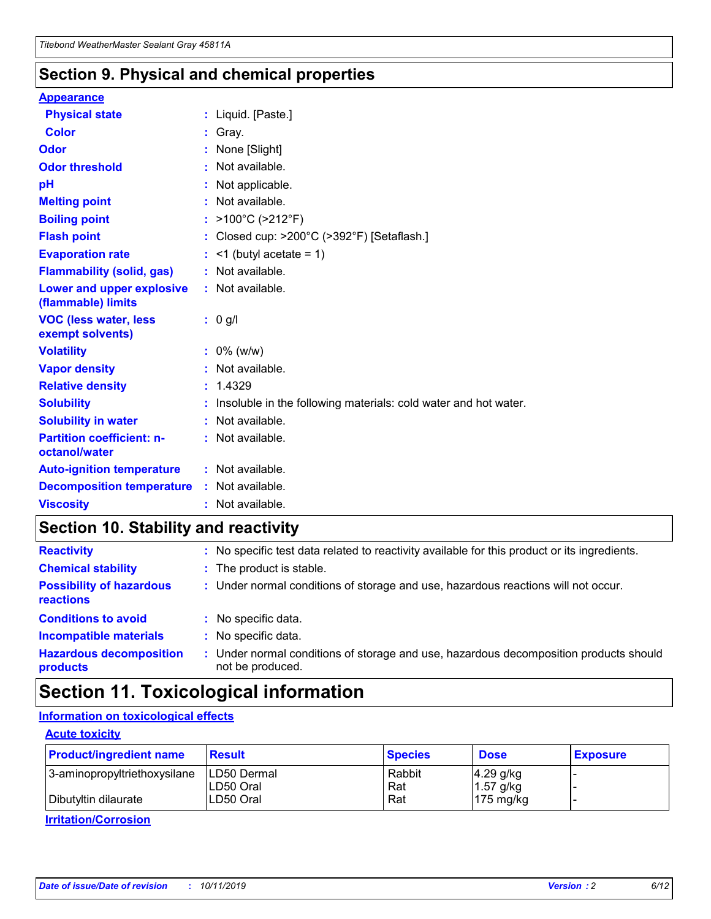### **Section 9. Physical and chemical properties**

#### **Appearance**

| <b>Physical state</b>                             | : Liquid. [Paste.]                                              |
|---------------------------------------------------|-----------------------------------------------------------------|
| <b>Color</b>                                      | Gray.                                                           |
| Odor                                              | None [Slight]                                                   |
| <b>Odor threshold</b>                             | $:$ Not available.                                              |
| рH                                                | : Not applicable.                                               |
| <b>Melting point</b>                              | : Not available.                                                |
| <b>Boiling point</b>                              | : >100°C (>212°F)                                               |
| <b>Flash point</b>                                | : Closed cup: >200°C (>392°F) [Setaflash.]                      |
| <b>Evaporation rate</b>                           | $:$ <1 (butyl acetate = 1)                                      |
| <b>Flammability (solid, gas)</b>                  | : Not available.                                                |
| Lower and upper explosive<br>(flammable) limits   | $:$ Not available.                                              |
| <b>VOC (less water, less</b><br>exempt solvents)  | : 0 g/l                                                         |
| <b>Volatility</b>                                 | $: 0\%$ (w/w)                                                   |
|                                                   |                                                                 |
| <b>Vapor density</b>                              | : Not available.                                                |
| <b>Relative density</b>                           | : 1.4329                                                        |
| <b>Solubility</b>                                 | Insoluble in the following materials: cold water and hot water. |
| <b>Solubility in water</b>                        | $:$ Not available.                                              |
| <b>Partition coefficient: n-</b><br>octanol/water | $:$ Not available.                                              |
| <b>Auto-ignition temperature</b>                  | : Not available.                                                |
| <b>Decomposition temperature</b>                  | : Not available.                                                |

### **Section 10. Stability and reactivity**

| <b>Reactivity</b>                            |    | : No specific test data related to reactivity available for this product or its ingredients.            |
|----------------------------------------------|----|---------------------------------------------------------------------------------------------------------|
| <b>Chemical stability</b>                    |    | : The product is stable.                                                                                |
| <b>Possibility of hazardous</b><br>reactions |    | : Under normal conditions of storage and use, hazardous reactions will not occur.                       |
| <b>Conditions to avoid</b>                   |    | : No specific data.                                                                                     |
| <b>Incompatible materials</b>                | ٠. | No specific data.                                                                                       |
| <b>Hazardous decomposition</b><br>products   | ÷. | Under normal conditions of storage and use, hazardous decomposition products should<br>not be produced. |

### **Section 11. Toxicological information**

### **Information on toxicological effects**

#### **Acute toxicity**

| <b>Product/ingredient name</b> | <b>Result</b>           | <b>Species</b> | <b>Dose</b>                | <b>Exposure</b> |
|--------------------------------|-------------------------|----------------|----------------------------|-----------------|
| 3-aminopropyltriethoxysilane   | <b>ILD50 Dermal</b>     | Rabbit         | 4.29 g/kg                  |                 |
| Dibutyltin dilaurate           | ILD50 Oral<br>LD50 Oral | Rat<br>Rat     | $1.57$ g/kg<br>175 $mg/kg$ |                 |
|                                |                         |                |                            |                 |

**Irritation/Corrosion**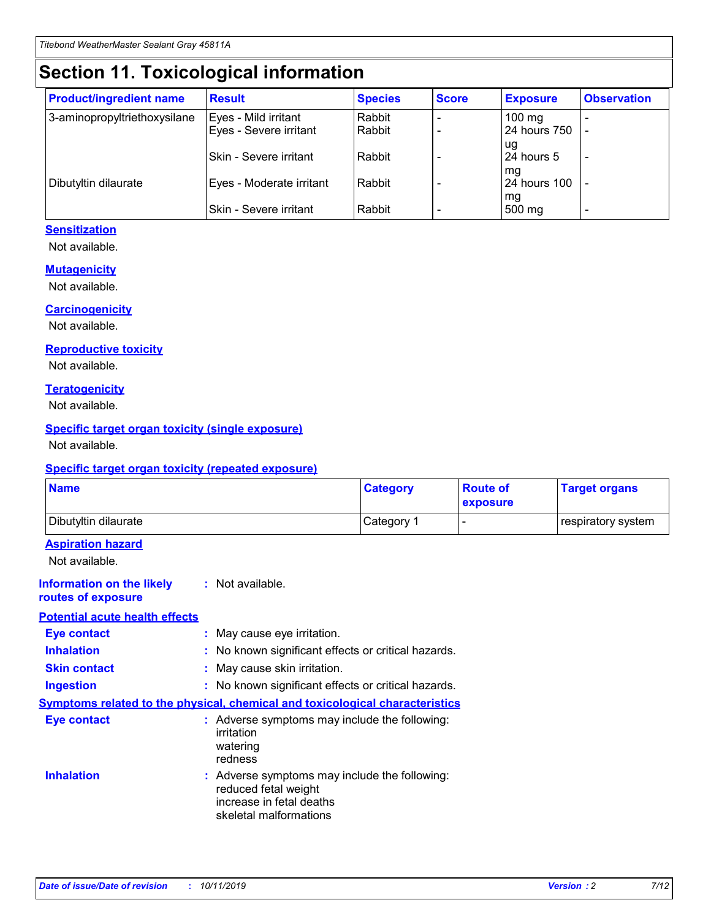## **Section 11. Toxicological information**

| <b>Product/ingredient name</b> | <b>Result</b>            | <b>Species</b> | <b>Score</b> | <b>Exposure</b>           | <b>Observation</b> |
|--------------------------------|--------------------------|----------------|--------------|---------------------------|--------------------|
| 3-aminopropyltriethoxysilane   | Eyes - Mild irritant     | Rabbit         |              | $100$ mg                  |                    |
|                                | Eyes - Severe irritant   | Rabbit         |              | 24 hours 750              |                    |
|                                |                          |                |              | ug                        |                    |
|                                | Skin - Severe irritant   | Rabbit         |              | 24 hours 5                | -                  |
| Dibutyltin dilaurate           | Eyes - Moderate irritant | Rabbit         |              | mq<br><b>24 hours 100</b> |                    |
|                                |                          |                |              | mg                        |                    |
|                                | Skin - Severe irritant   | Rabbit         |              | 500 mg                    |                    |

#### **Sensitization**

Not available.

#### **Mutagenicity**

Not available.

#### **Carcinogenicity**

Not available.

#### **Reproductive toxicity**

Not available.

#### **Teratogenicity**

Not available.

#### **Specific target organ toxicity (single exposure)**

Not available.

#### **Specific target organ toxicity (repeated exposure)**

| <b>Name</b>                                                                  |                                                                                                                             | <b>Category</b> | <b>Route of</b><br>exposure | <b>Target organs</b> |
|------------------------------------------------------------------------------|-----------------------------------------------------------------------------------------------------------------------------|-----------------|-----------------------------|----------------------|
| Dibutyltin dilaurate                                                         |                                                                                                                             | Category 1      |                             | respiratory system   |
| <b>Aspiration hazard</b><br>Not available.                                   |                                                                                                                             |                 |                             |                      |
| <b>Information on the likely</b><br>routes of exposure                       | : Not available.                                                                                                            |                 |                             |                      |
| <b>Potential acute health effects</b>                                        |                                                                                                                             |                 |                             |                      |
| <b>Eye contact</b>                                                           | : May cause eye irritation.                                                                                                 |                 |                             |                      |
| <b>Inhalation</b>                                                            | : No known significant effects or critical hazards.                                                                         |                 |                             |                      |
| <b>Skin contact</b>                                                          | : May cause skin irritation.                                                                                                |                 |                             |                      |
| <b>Ingestion</b>                                                             | : No known significant effects or critical hazards.                                                                         |                 |                             |                      |
| Symptoms related to the physical, chemical and toxicological characteristics |                                                                                                                             |                 |                             |                      |
| <b>Eye contact</b>                                                           | : Adverse symptoms may include the following:<br>irritation<br>watering<br>redness                                          |                 |                             |                      |
| <b>Inhalation</b>                                                            | : Adverse symptoms may include the following:<br>reduced fetal weight<br>increase in fetal deaths<br>skeletal malformations |                 |                             |                      |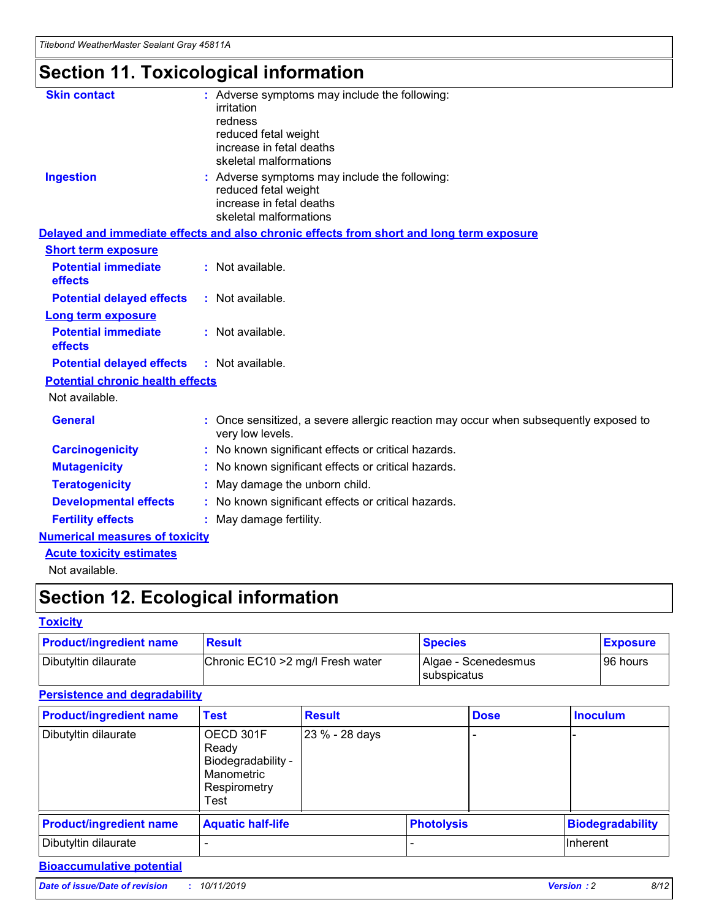## **Section 11. Toxicological information**

| <b>Skin contact</b>                     | : Adverse symptoms may include the following:                                                                               |  |
|-----------------------------------------|-----------------------------------------------------------------------------------------------------------------------------|--|
|                                         | irritation                                                                                                                  |  |
|                                         | redness<br>reduced fetal weight                                                                                             |  |
|                                         | increase in fetal deaths                                                                                                    |  |
|                                         | skeletal malformations                                                                                                      |  |
| <b>Ingestion</b>                        | : Adverse symptoms may include the following:<br>reduced fetal weight<br>increase in fetal deaths<br>skeletal malformations |  |
|                                         | Delayed and immediate effects and also chronic effects from short and long term exposure                                    |  |
| <b>Short term exposure</b>              |                                                                                                                             |  |
| <b>Potential immediate</b><br>effects   | : Not available.                                                                                                            |  |
| <b>Potential delayed effects</b>        | : Not available.                                                                                                            |  |
| <b>Long term exposure</b>               |                                                                                                                             |  |
| <b>Potential immediate</b><br>effects   | : Not available.                                                                                                            |  |
| <b>Potential delayed effects</b>        | : Not available.                                                                                                            |  |
| <b>Potential chronic health effects</b> |                                                                                                                             |  |
| Not available.                          |                                                                                                                             |  |
| <b>General</b>                          | : Once sensitized, a severe allergic reaction may occur when subsequently exposed to<br>very low levels.                    |  |
| <b>Carcinogenicity</b>                  | : No known significant effects or critical hazards.                                                                         |  |
| <b>Mutagenicity</b>                     | : No known significant effects or critical hazards.                                                                         |  |
| <b>Teratogenicity</b>                   | May damage the unborn child.                                                                                                |  |
| <b>Developmental effects</b>            | : No known significant effects or critical hazards.                                                                         |  |
| <b>Fertility effects</b>                | May damage fertility.                                                                                                       |  |
| <b>Numerical measures of toxicity</b>   |                                                                                                                             |  |
| <b>Acute toxicity estimates</b>         |                                                                                                                             |  |
| الملحلة والمستحيط والمسالم              |                                                                                                                             |  |

Not available.

## **Section 12. Ecological information**

#### **Toxicity**

| <b>Product/ingredient name</b> | <b>Result</b>                     | <b>Species</b>                       | <b>Exposure</b> |
|--------------------------------|-----------------------------------|--------------------------------------|-----------------|
| Dibutyltin dilaurate           | Chronic EC10 > 2 mg/l Fresh water | Algae - Scenedesmus<br>I subspicatus | l 96 hours      |

### **Persistence and degradability**

| <b>Product/ingredient name</b> | <b>Test</b>                                                                    | <b>Result</b>  |                   | <b>Dose</b> | <b>Inoculum</b>         |
|--------------------------------|--------------------------------------------------------------------------------|----------------|-------------------|-------------|-------------------------|
| Dibutyltin dilaurate           | OECD 301F<br>Ready<br>Biodegradability -<br>Manometric<br>Respirometry<br>Test | 23 % - 28 days |                   |             |                         |
| <b>Product/ingredient name</b> | <b>Aquatic half-life</b>                                                       |                | <b>Photolysis</b> |             | <b>Biodegradability</b> |
| Dibutyltin dilaurate           |                                                                                |                |                   |             | Inherent                |

### **Bioaccumulative potential**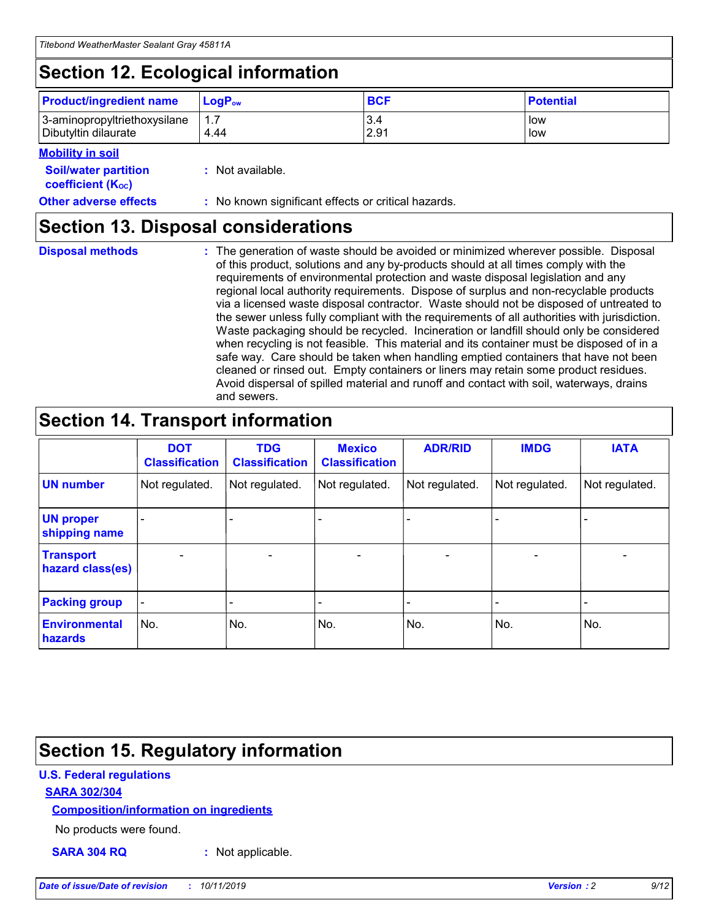## **Section 12. Ecological information**

| <b>Product/ingredient name</b>                       | ∣LoqP <sub>ow</sub> | <b>BCF</b>  | <b>Potential</b> |
|------------------------------------------------------|---------------------|-------------|------------------|
| 3-aminopropyltriethoxysilane<br>Dibutyltin dilaurate | 4.44                | 3.4<br>2.91 | low<br>low       |

#### **Mobility in soil**

| <i></i>                                                       |                                                     |
|---------------------------------------------------------------|-----------------------------------------------------|
| <b>Soil/water partition</b><br>coefficient (K <sub>oc</sub> ) | : Not available.                                    |
| <b>Other adverse effects</b>                                  | : No known significant effects or critical hazards. |

### **Section 13. Disposal considerations**

**Disposal methods :**

The generation of waste should be avoided or minimized wherever possible. Disposal of this product, solutions and any by-products should at all times comply with the requirements of environmental protection and waste disposal legislation and any regional local authority requirements. Dispose of surplus and non-recyclable products via a licensed waste disposal contractor. Waste should not be disposed of untreated to the sewer unless fully compliant with the requirements of all authorities with jurisdiction. Waste packaging should be recycled. Incineration or landfill should only be considered when recycling is not feasible. This material and its container must be disposed of in a safe way. Care should be taken when handling emptied containers that have not been cleaned or rinsed out. Empty containers or liners may retain some product residues. Avoid dispersal of spilled material and runoff and contact with soil, waterways, drains and sewers.

## **Section 14. Transport information**

|                                      | <b>DOT</b><br><b>Classification</b> | <b>TDG</b><br><b>Classification</b> | <b>Mexico</b><br><b>Classification</b> | <b>ADR/RID</b>           | <b>IMDG</b>              | <b>IATA</b>              |
|--------------------------------------|-------------------------------------|-------------------------------------|----------------------------------------|--------------------------|--------------------------|--------------------------|
| <b>UN number</b>                     | Not regulated.                      | Not regulated.                      | Not regulated.                         | Not regulated.           | Not regulated.           | Not regulated.           |
| <b>UN proper</b><br>shipping name    | $\qquad \qquad \blacksquare$        |                                     |                                        |                          |                          |                          |
| <b>Transport</b><br>hazard class(es) | $\blacksquare$                      | $\blacksquare$                      | $\blacksquare$                         | $\overline{\phantom{a}}$ | $\blacksquare$           | $\blacksquare$           |
| <b>Packing group</b>                 | $\overline{\phantom{a}}$            | $\overline{\phantom{0}}$            | $\qquad \qquad \blacksquare$           | -                        | $\overline{\phantom{0}}$ | $\overline{\phantom{a}}$ |
| <b>Environmental</b><br>hazards      | No.                                 | No.                                 | No.                                    | No.                      | No.                      | No.                      |

## **Section 15. Regulatory information**

#### **U.S. Federal regulations**

#### **SARA 302/304**

#### **Composition/information on ingredients**

No products were found.

**SARA 304 RQ :** Not applicable.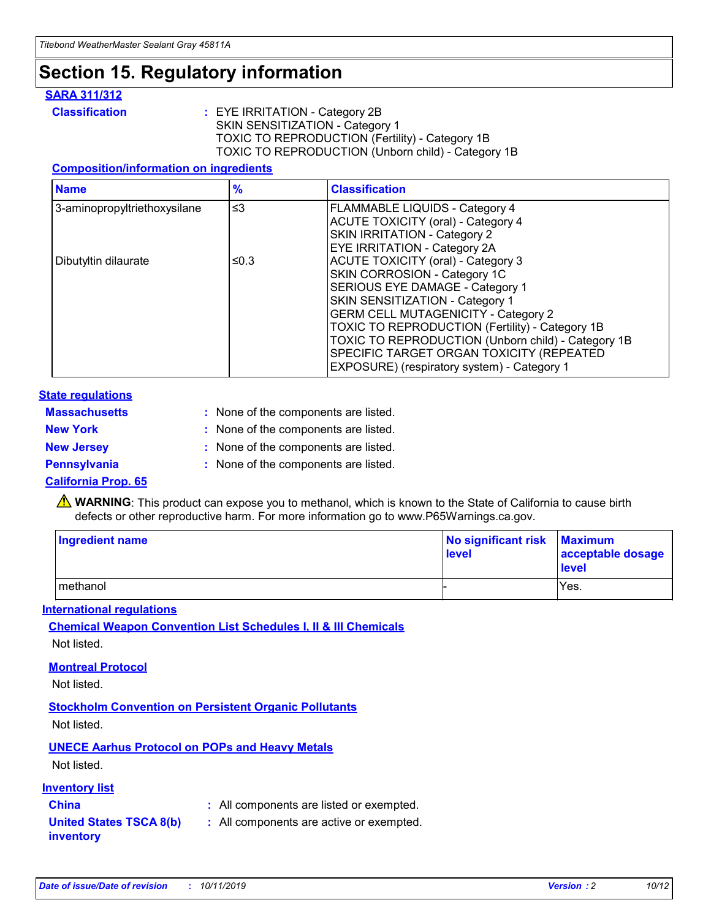## **Section 15. Regulatory information**

#### **SARA 311/312**

**Classification :** EYE IRRITATION - Category 2B SKIN SENSITIZATION - Category 1 TOXIC TO REPRODUCTION (Fertility) - Category 1B TOXIC TO REPRODUCTION (Unborn child) - Category 1B

#### **Composition/information on ingredients**

| <b>Name</b>                  | $\frac{9}{6}$ | <b>Classification</b>                                                                                            |
|------------------------------|---------------|------------------------------------------------------------------------------------------------------------------|
| 3-aminopropyltriethoxysilane | $\leq$ 3      | <b>FLAMMABLE LIQUIDS - Category 4</b><br><b>ACUTE TOXICITY (oral) - Category 4</b>                               |
|                              |               | SKIN IRRITATION - Category 2<br>EYE IRRITATION - Category 2A                                                     |
| Dibutyltin dilaurate         | ≤0.3          | ACUTE TOXICITY (oral) - Category 3<br>SKIN CORROSION - Category 1C                                               |
|                              |               | SERIOUS EYE DAMAGE - Category 1<br>SKIN SENSITIZATION - Category 1<br><b>GERM CELL MUTAGENICITY - Category 2</b> |
|                              |               | TOXIC TO REPRODUCTION (Fertility) - Category 1B<br>TOXIC TO REPRODUCTION (Unborn child) - Category 1B            |
|                              |               | SPECIFIC TARGET ORGAN TOXICITY (REPEATED<br>EXPOSURE) (respiratory system) - Category 1                          |

#### **State regulations**

| <b>Massachusetts</b> | : None of the components are listed. |
|----------------------|--------------------------------------|
| <b>New York</b>      | : None of the components are listed. |
| <b>New Jersey</b>    | : None of the components are listed. |
| <b>Pennsylvania</b>  | : None of the components are listed. |

#### **California Prop. 65**

**A** WARNING: This product can expose you to methanol, which is known to the State of California to cause birth defects or other reproductive harm. For more information go to www.P65Warnings.ca.gov.

| <b>Ingredient name</b> | No significant risk Maximum<br>level | acceptable dosage<br>level |
|------------------------|--------------------------------------|----------------------------|
| methanol               |                                      | Yes.                       |

#### **International regulations**

**Chemical Weapon Convention List Schedules I, II & III Chemicals** Not listed.

#### **Montreal Protocol**

Not listed.

#### **Stockholm Convention on Persistent Organic Pollutants**

Not listed.

### **UNECE Aarhus Protocol on POPs and Heavy Metals**

Not listed.

#### **Inventory list**

### **China :** All components are listed or exempted.

**United States TSCA 8(b) inventory :** All components are active or exempted.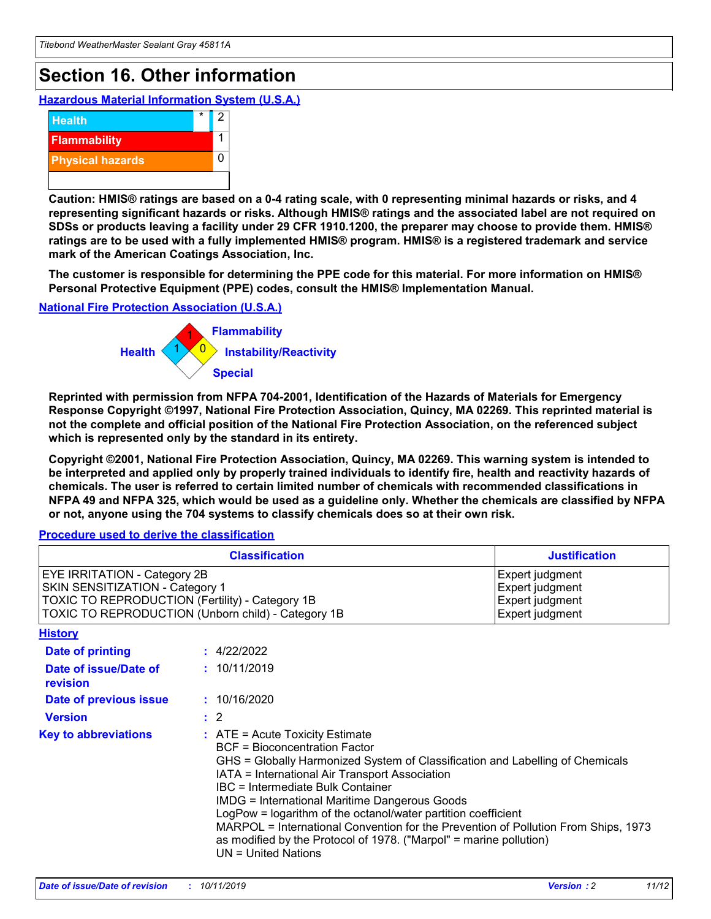## **Section 16. Other information**

**Hazardous Material Information System (U.S.A.)**



**Caution: HMIS® ratings are based on a 0-4 rating scale, with 0 representing minimal hazards or risks, and 4 representing significant hazards or risks. Although HMIS® ratings and the associated label are not required on SDSs or products leaving a facility under 29 CFR 1910.1200, the preparer may choose to provide them. HMIS® ratings are to be used with a fully implemented HMIS® program. HMIS® is a registered trademark and service mark of the American Coatings Association, Inc.**

**The customer is responsible for determining the PPE code for this material. For more information on HMIS® Personal Protective Equipment (PPE) codes, consult the HMIS® Implementation Manual.**

#### **National Fire Protection Association (U.S.A.)**



**Reprinted with permission from NFPA 704-2001, Identification of the Hazards of Materials for Emergency Response Copyright ©1997, National Fire Protection Association, Quincy, MA 02269. This reprinted material is not the complete and official position of the National Fire Protection Association, on the referenced subject which is represented only by the standard in its entirety.**

**Copyright ©2001, National Fire Protection Association, Quincy, MA 02269. This warning system is intended to be interpreted and applied only by properly trained individuals to identify fire, health and reactivity hazards of chemicals. The user is referred to certain limited number of chemicals with recommended classifications in NFPA 49 and NFPA 325, which would be used as a guideline only. Whether the chemicals are classified by NFPA or not, anyone using the 704 systems to classify chemicals does so at their own risk.**

#### **Procedure used to derive the classification**

| <b>Classification</b>                                                                                                                                                    |                                                                                                                                                                                                                                                                                                                                                                                                                                                                                                                                                               | <b>Justification</b>                                                     |
|--------------------------------------------------------------------------------------------------------------------------------------------------------------------------|---------------------------------------------------------------------------------------------------------------------------------------------------------------------------------------------------------------------------------------------------------------------------------------------------------------------------------------------------------------------------------------------------------------------------------------------------------------------------------------------------------------------------------------------------------------|--------------------------------------------------------------------------|
| EYE IRRITATION - Category 2B<br>SKIN SENSITIZATION - Category 1<br>TOXIC TO REPRODUCTION (Fertility) - Category 1B<br>TOXIC TO REPRODUCTION (Unborn child) - Category 1B |                                                                                                                                                                                                                                                                                                                                                                                                                                                                                                                                                               | Expert judgment<br>Expert judgment<br>Expert judgment<br>Expert judgment |
| <b>History</b>                                                                                                                                                           |                                                                                                                                                                                                                                                                                                                                                                                                                                                                                                                                                               |                                                                          |
| <b>Date of printing</b>                                                                                                                                                  | : 4/22/2022                                                                                                                                                                                                                                                                                                                                                                                                                                                                                                                                                   |                                                                          |
| Date of issue/Date of<br>revision                                                                                                                                        | : 10/11/2019                                                                                                                                                                                                                                                                                                                                                                                                                                                                                                                                                  |                                                                          |
| Date of previous issue                                                                                                                                                   | : 10/16/2020                                                                                                                                                                                                                                                                                                                                                                                                                                                                                                                                                  |                                                                          |
| <b>Version</b>                                                                                                                                                           | $\therefore$ 2                                                                                                                                                                                                                                                                                                                                                                                                                                                                                                                                                |                                                                          |
| <b>Key to abbreviations</b>                                                                                                                                              | $:$ ATE = Acute Toxicity Estimate<br><b>BCF</b> = Bioconcentration Factor<br>GHS = Globally Harmonized System of Classification and Labelling of Chemicals<br>IATA = International Air Transport Association<br>IBC = Intermediate Bulk Container<br><b>IMDG = International Maritime Dangerous Goods</b><br>LogPow = logarithm of the octanol/water partition coefficient<br>MARPOL = International Convention for the Prevention of Pollution From Ships, 1973<br>as modified by the Protocol of 1978. ("Marpol" = marine pollution)<br>UN = United Nations |                                                                          |